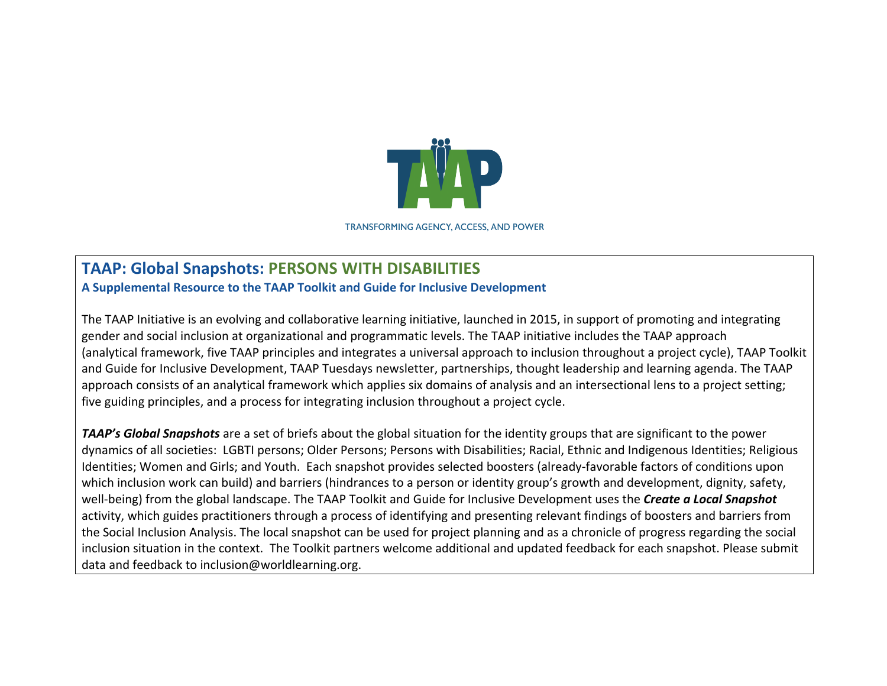

**TRANSFORMING AGENCY, ACCESS, AND POWER** 

## **TAAP: Global Snapshots: PERSONS WITH DISABILITIES**

**A Supplemental Resource to the TAAP Toolkit and Guide for Inclusive Development**

The TAAP Initiative is an evolving and collaborative learning initiative, launched in 2015, in support of promoting and integrating gender and social inclusion at organizational and programmatic levels. The TAAP initiative includes the TAAP approach (analytical framework, five TAAP principles and integrates a universal approach to inclusion throughout a project cycle), TAAP Toolkit and Guide for Inclusive Development, TAAP Tuesdays newsletter, partnerships, thought leadership and learning agenda. The TAAP approach consists of an analytical framework which applies six domains of analysis and an intersectional lens to a project setting; five guiding principles, and a process for integrating inclusion throughout a project cycle.

**TAAP's Global Snapshots** are a set of briefs about the global situation for the identity groups that are significant to the power dynamics of all societies: LGBTI persons; Older Persons; Persons with Disabilities; Racial, Ethnic and Indigenous Identities; Religious Identities; Women and Girls; and Youth. Each snapshot provides selected boosters (already-favorable factors of conditions upon which inclusion work can build) and barriers (hindrances to a person or identity group's growth and development, dignity, safety, well-being) from the global landscape. The TAAP Toolkit and Guide for Inclusive Development uses the **Create a Local Snapshot** activity, which guides practitioners through a process of identifying and presenting relevant findings of boosters and barriers from the Social Inclusion Analysis. The local snapshot can be used for project planning and as a chronicle of progress regarding the social inclusion situation in the context. The Toolkit partners welcome additional and updated feedback for each snapshot. Please submit data and feedback to inclusion@worldlearning.org.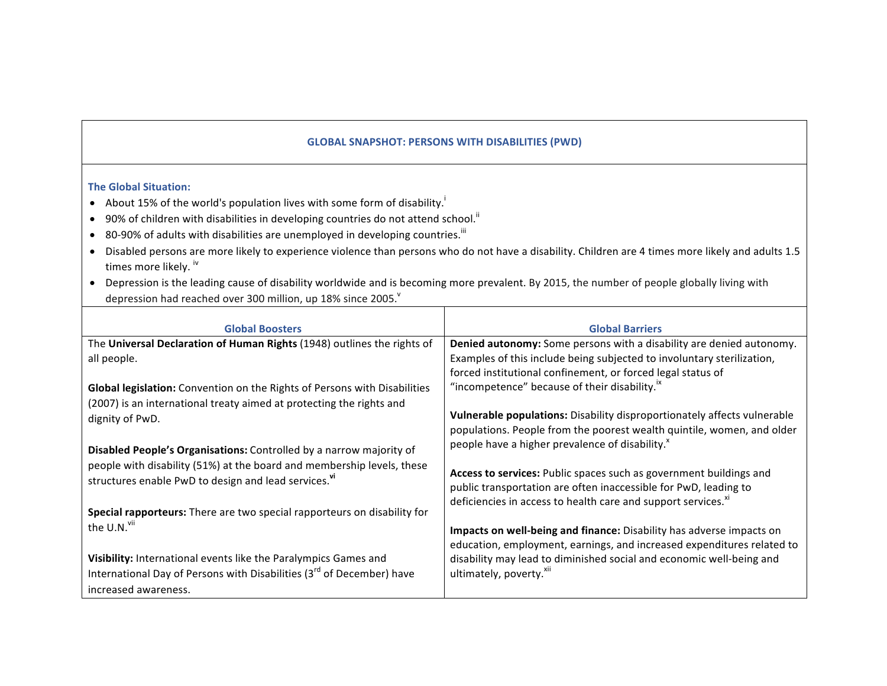## **GLOBAL SNAPSHOT: PERSONS WITH DISABILITIES (PWD)**

## **The Global Situation:**

- About 15% of the world's population lives with some form of disability.
- $\bullet$  90% of children with disabilities in developing countries do not attend school.<sup>"</sup>
- 80-90% of adults with disabilities are unemployed in developing countries.<sup>iii</sup>
- Disabled persons are more likely to experience violence than persons who do not have a disability. Children are 4 times more likely and adults 1.5 times more likely. iv
- Depression is the leading cause of disability worldwide and is becoming more prevalent. By 2015, the number of people globally living with depression had reached over 300 million, up 18% since 2005.

| <b>Global Barriers</b>                                                                                                                 |
|----------------------------------------------------------------------------------------------------------------------------------------|
| Denied autonomy: Some persons with a disability are denied autonomy.                                                                   |
| Examples of this include being subjected to involuntary sterilization,                                                                 |
| forced institutional confinement, or forced legal status of                                                                            |
| "incompetence" because of their disability. <sup>ix</sup>                                                                              |
|                                                                                                                                        |
| Vulnerable populations: Disability disproportionately affects vulnerable                                                               |
| populations. People from the poorest wealth quintile, women, and older                                                                 |
| people have a higher prevalence of disability.                                                                                         |
|                                                                                                                                        |
| Access to services: Public spaces such as government buildings and<br>public transportation are often inaccessible for PwD, leading to |
| deficiencies in access to health care and support services. <sup>xi</sup>                                                              |
|                                                                                                                                        |
| Impacts on well-being and finance: Disability has adverse impacts on                                                                   |
| education, employment, earnings, and increased expenditures related to                                                                 |
| disability may lead to diminished social and economic well-being and                                                                   |
| ultimately, poverty. <sup>XII</sup>                                                                                                    |
|                                                                                                                                        |
|                                                                                                                                        |